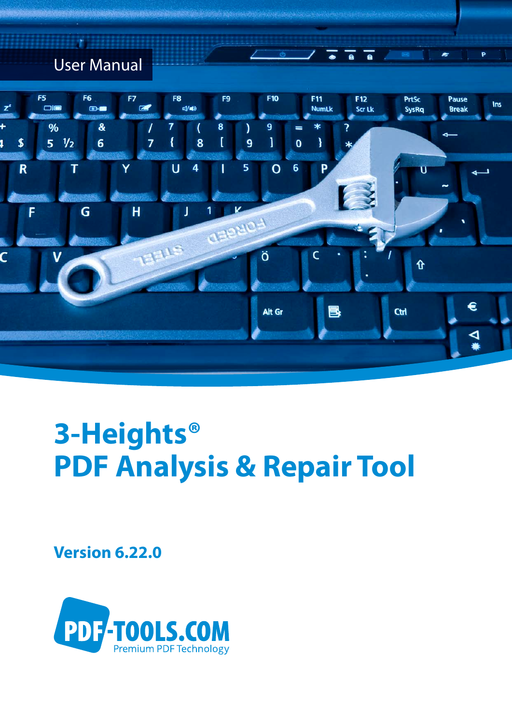## User Manual



 $\overline{a}$ 

ᅮ

P

# **3-Heights® PDF Analysis & Repair Tool**

**Version 6.22.0**

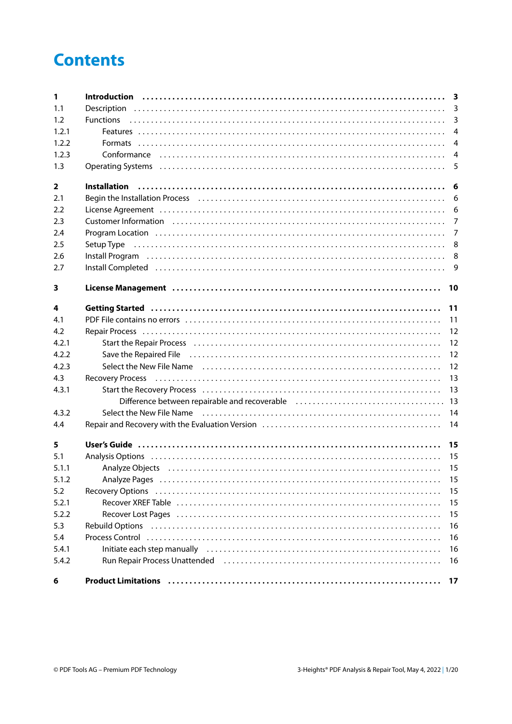## **Contents**

| $\mathbf{1}$            |                                                                                                                                                                                                                                |                |
|-------------------------|--------------------------------------------------------------------------------------------------------------------------------------------------------------------------------------------------------------------------------|----------------|
| 1.1                     |                                                                                                                                                                                                                                |                |
| 1.2                     |                                                                                                                                                                                                                                | $\mathbf{3}$   |
| 1.2.1                   |                                                                                                                                                                                                                                | $\overline{4}$ |
| 1.2.2                   |                                                                                                                                                                                                                                | $\overline{4}$ |
| 1.2.3                   |                                                                                                                                                                                                                                | $\overline{4}$ |
| 1.3                     |                                                                                                                                                                                                                                | 5              |
| $\overline{\mathbf{2}}$ |                                                                                                                                                                                                                                |                |
| 2.1                     | Begin the Installation Process (all contained according to the USC) of the Installation Process (all contained to the USC) of the Installation Process (all contained to the USC) of the USC of the USC of the USC of the USC  |                |
| 2.2                     | License Agreement (and accommunication of the control of the control of the control of the control of the control of the control of the control of the control of the control of the control of the control of the control of  |                |
| 2.3                     |                                                                                                                                                                                                                                | $\overline{7}$ |
| 2.4                     |                                                                                                                                                                                                                                | $\overline{7}$ |
| 2.5                     |                                                                                                                                                                                                                                |                |
| 2.6                     | Install Program (a) contain a control of the control of the control of the control of the control of the control of the control of the control of the control of the control of the control of the control of the control of t |                |
| 2.7                     | Install Completed (and according to the control of the control of the control of the control of the control of                                                                                                                 | 9              |
| 3                       |                                                                                                                                                                                                                                | 10             |
| 4                       |                                                                                                                                                                                                                                | 11             |
| 4.1                     |                                                                                                                                                                                                                                | 11             |
| 4.2                     |                                                                                                                                                                                                                                | 12             |
| 4.2.1                   |                                                                                                                                                                                                                                | 12             |
| 4.2.2                   | Save the Repaired File (all contains and contained a state of the Repaired File (all contains and the Repaired                                                                                                                 | 12             |
| 4.2.3                   |                                                                                                                                                                                                                                | 12             |
| 4.3                     | Recovery Process (and according to the control of the cover of the covery Process (and according to the cover of the cover of the cover of the cover of the cover of the cover of the cover of the cover of the cover of the c | 13             |
| 4.3.1                   |                                                                                                                                                                                                                                | 13             |
|                         |                                                                                                                                                                                                                                |                |
| 4.3.2                   |                                                                                                                                                                                                                                | 14             |
| 4.4                     |                                                                                                                                                                                                                                | 14             |
| 5                       |                                                                                                                                                                                                                                |                |
| 5.1                     | Analysis Options (and according to the control of the control of the control of the control of the control of t                                                                                                                |                |
| 5.1.1                   |                                                                                                                                                                                                                                |                |
| 5.1.2                   |                                                                                                                                                                                                                                | 15             |
| 5.2                     |                                                                                                                                                                                                                                | 15             |
| 5.2.1                   | Recover XREF Table (and according to the control of the control of the control of the control of the control o                                                                                                                 | 15             |
| 5.2.2                   | Recover Lost Pages (all contains and contained all contains and contained all contains a new set of $\mathbb{R}$                                                                                                               | 15             |
| 5.3                     |                                                                                                                                                                                                                                | 16             |
| 5.4                     |                                                                                                                                                                                                                                | 16             |
| 5.4.1                   | Initiate each step manually (all contains and contained a state of the state of the state of the state of the                                                                                                                  | 16             |
| 5.4.2                   | Run Repair Process Unattended (all accordination of the control of the control of the control of the control o                                                                                                                 | 16             |
| 6                       | Product Limitations (all contracts) and the control of the control of the control of the control of the control of the control of the control of the control of the control of the control of the control of the control of th | 17             |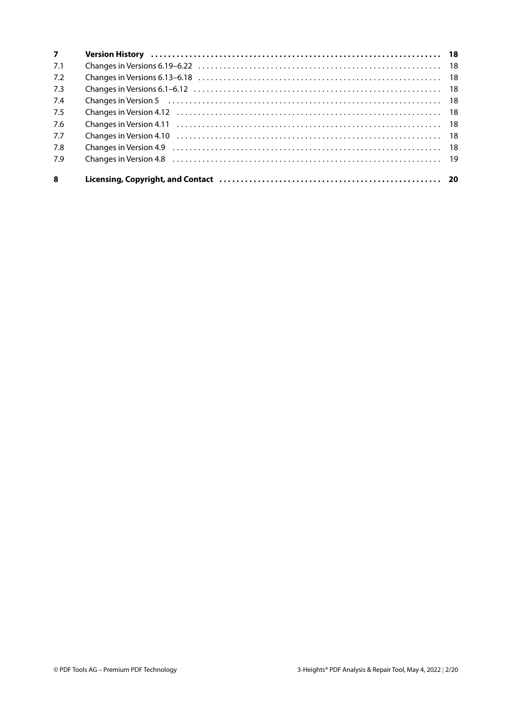| $\overline{7}$ |                                                                                                                      |  |
|----------------|----------------------------------------------------------------------------------------------------------------------|--|
| 7.1            |                                                                                                                      |  |
| 7.2            |                                                                                                                      |  |
| 7.3            |                                                                                                                      |  |
| 7.4            | Changes in Version 5 (a) contained a series and contained a series of the contact of the contact of the contact $18$ |  |
| 7.5            |                                                                                                                      |  |
| 7.6            |                                                                                                                      |  |
| 7.7            |                                                                                                                      |  |
| 7.8            |                                                                                                                      |  |
| 7.9            |                                                                                                                      |  |
| 8              |                                                                                                                      |  |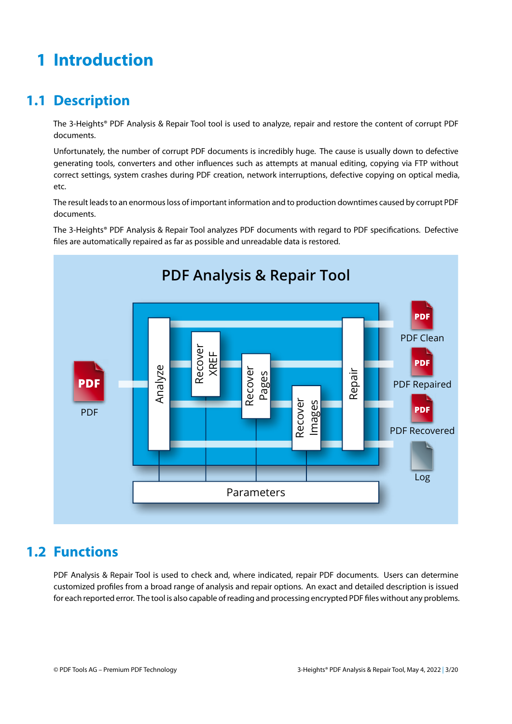## <span id="page-3-0"></span>**1 Introduction**

## <span id="page-3-1"></span>**1.1 Description**

The 3-Heights® PDF Analysis & Repair Tool tool is used to analyze, repair and restore the content of corrupt PDF documents.

Unfortunately, the number of corrupt PDF documents is incredibly huge. The cause is usually down to defective generating tools, converters and other influences such as attempts at manual editing, copying via FTP without correct settings, system crashes during PDF creation, network interruptions, defective copying on optical media, etc.

The result leads to an enormous loss of important information and to production downtimes caused by corrupt PDF documents.

The 3-Heights® PDF Analysis & Repair Tool analyzes PDF documents with regard to PDF specifications. Defective files are automatically repaired as far as possible and unreadable data is restored.



### <span id="page-3-2"></span>**1.2 Functions**

PDF Analysis & Repair Tool is used to check and, where indicated, repair PDF documents. Users can determine customized profiles from a broad range of analysis and repair options. An exact and detailed description is issued for each reported error. The tool is also capable of reading and processing encrypted PDF files without any problems.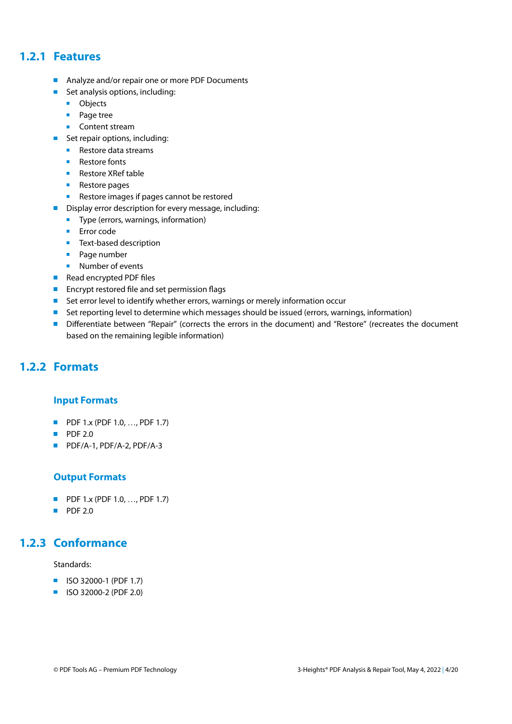#### **1.2.1 Features**

- <span id="page-4-0"></span>Analyze and/or repair one or more PDF Documents
- Set analysis options, including:
	- **D** Objects
	- **Page tree**
	- **Content stream**
- Set repair options, including:
	- Restore data streams
	- **Restore fonts**
	- Restore XRef table
	- Restore pages
	- Restore images if pages cannot be restored
- Display error description for every message, including:
	- **Type (errors, warnings, information)**
	- **Error** code
	- $\blacksquare$  Text-based description
	- **Page number**
	- **Number of events**
- Read encrypted PDF files
- **Encrypt restored file and set permission flags**
- Set error level to identify whether errors, warnings or merely information occur
- **Set reporting level to determine which messages should be issued (errors, warnings, information)**
- <span id="page-4-1"></span>Differentiate between "Repair" (corrects the errors in the document) and "Restore" (recreates the document based on the remaining legible information)

#### **1.2.2 Formats**

#### **Input Formats**

- **PDF 1.x (PDF 1.0, ..., PDF 1.7)**
- $\blacksquare$  PDF 2.0
- PDF/A-1, PDF/A-2, PDF/A-3

#### **Output Formats**

- **PDF 1.x (PDF 1.0, ..., PDF 1.7)**
- <span id="page-4-2"></span> $\blacksquare$  PDF 2.0

#### **1.2.3 Conformance**

Standards:

- **ISO 32000-1 (PDF 1.7)**
- **ISO 32000-2 (PDF 2.0)**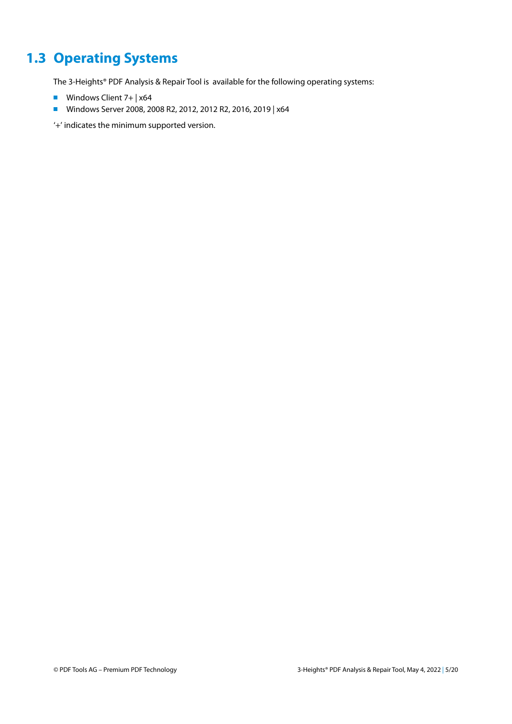## <span id="page-5-0"></span>**1.3 Operating Systems**

The 3-Heights® PDF Analysis & Repair Tool is available for the following operating systems:

- **Windows Client 7+ |**  $\times$ **64**
- Windows Server 2008, 2008 R2, 2012, 2012 R2, 2016, 2019 | x64

'+' indicates the minimum supported version.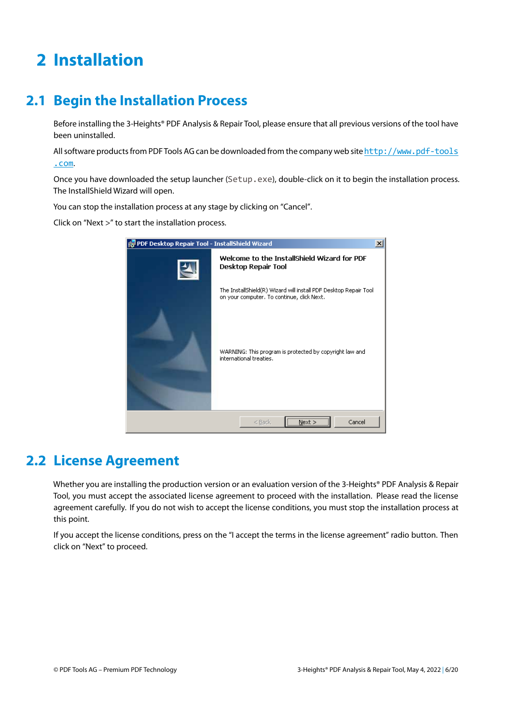## <span id="page-6-0"></span>**2 Installation**

## <span id="page-6-1"></span>**2.1 Begin the Installation Process**

Before installing the 3-Heights® PDF Analysis & Repair Tool, please ensure that all previous versions of the tool have been uninstalled.

All software products from PDF Tools AG can be downloaded from the company web site[http://www.pdf-tools](http://www.pdf-tools.com) [.com](http://www.pdf-tools.com).

Once you have downloaded the setup launcher (Setup.exe), double-click on it to begin the installation process. The InstallShield Wizard will open.

You can stop the installation process at any stage by clicking on "Cancel".

Click on "Next >" to start the installation process.



### <span id="page-6-2"></span>**2.2 License Agreement**

Whether you are installing the production version or an evaluation version of the 3-Heights® PDF Analysis & Repair Tool, you must accept the associated license agreement to proceed with the installation. Please read the license agreement carefully. If you do not wish to accept the license conditions, you must stop the installation process at this point.

If you accept the license conditions, press on the "I accept the terms in the license agreement" radio button. Then click on "Next" to proceed.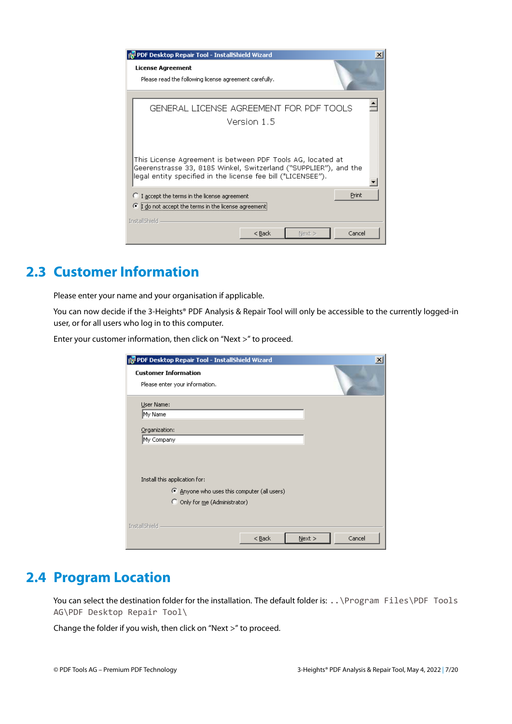

## <span id="page-7-0"></span>**2.3 Customer Information**

Please enter your name and your organisation if applicable.

You can now decide if the 3-Heights® PDF Analysis & Repair Tool will only be accessible to the currently logged-in user, or for all users who log in to this computer.

Enter your customer information, then click on "Next >" to proceed.

| PDF Desktop Repair Tool - InstallShield Wizard |          |      |        |
|------------------------------------------------|----------|------|--------|
| <b>Customer Information</b>                    |          |      |        |
| Please enter your information.                 |          |      |        |
| User Name:                                     |          |      |        |
| My Name                                        |          |      |        |
| Organization:                                  |          |      |        |
| My Company                                     |          |      |        |
|                                                |          |      |        |
|                                                |          |      |        |
| Install this application for:                  |          |      |        |
| 4 Anyone who uses this computer (all users)    |          |      |        |
| C Only for me (Administrator)                  |          |      |        |
|                                                |          |      |        |
| InstallShield                                  |          |      |        |
|                                                | $<$ Back | Next | Cancel |

### <span id="page-7-1"></span>**2.4 Program Location**

You can select the destination folder for the installation. The default folder is: . . \Program Files\PDF Tools AG\PDF Desktop Repair Tool\

Change the folder if you wish, then click on "Next >" to proceed.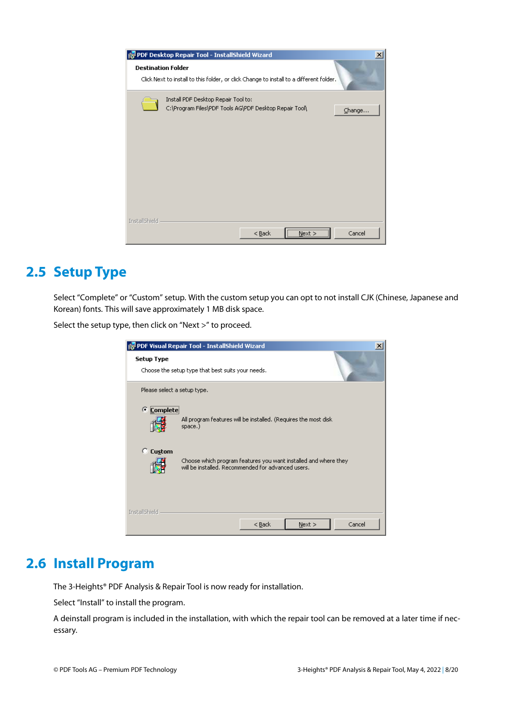| PDF Desktop Repair Tool - InstallShield Wizard                                                                       | $\vert x \vert$ |  |  |  |  |  |
|----------------------------------------------------------------------------------------------------------------------|-----------------|--|--|--|--|--|
| <b>Destination Folder</b><br>Click Next to install to this folder, or click Change to install to a different folder. |                 |  |  |  |  |  |
| Install PDF Desktop Repair Tool to:<br>C:\Program Files\PDF Tools AG\PDF Desktop Repair Tool\                        | Change          |  |  |  |  |  |
| <b>InstallShield</b><br><br>$<$ Back<br>Next >                                                                       | Cancel          |  |  |  |  |  |

## <span id="page-8-0"></span>**2.5 Setup Type**

Select "Complete" or "Custom" setup. With the custom setup you can opt to not install CJK (Chinese, Japanese and Korean) fonts. This will save approximately 1 MB disk space.

Select the setup type, then click on "Next >" to proceed.

|                             | <b>PDF Visual Repair Tool - InstallShield Wizard</b>                                                                  |        |      | $\vert x \vert$ |
|-----------------------------|-----------------------------------------------------------------------------------------------------------------------|--------|------|-----------------|
| <b>Setup Type</b>           | Choose the setup type that best suits your needs.                                                                     |        |      |                 |
| Please select a setup type. |                                                                                                                       |        |      |                 |
| G.<br><b>Complete</b>       | All program features will be installed. (Requires the most disk<br>space.)                                            |        |      |                 |
| C Custom                    | Choose which program features you want installed and where they<br>will be installed. Recommended for advanced users. |        |      |                 |
| InstallShield               |                                                                                                                       | $Back$ | Next | Cancel          |

## <span id="page-8-1"></span>**2.6 Install Program**

The 3-Heights® PDF Analysis & Repair Tool is now ready for installation.

Select "Install" to install the program.

A deinstall program is included in the installation, with which the repair tool can be removed at a later time if necessary.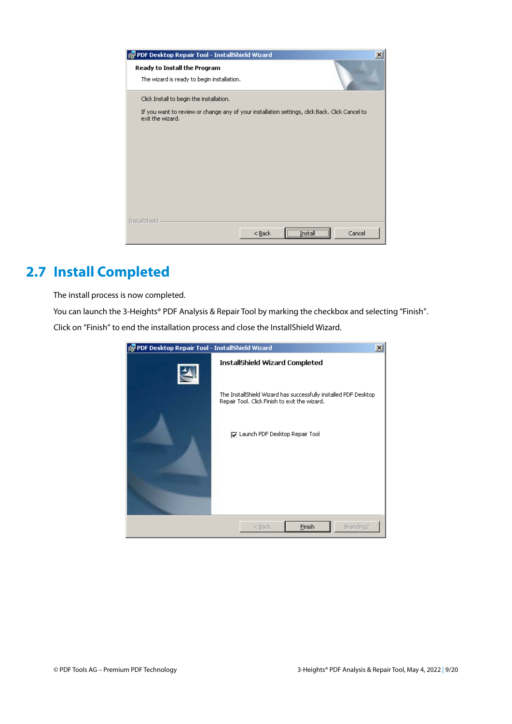| FDP Desktop Repair Tool - InstallShield Wizard                             | ×                                                                                              |
|----------------------------------------------------------------------------|------------------------------------------------------------------------------------------------|
| Ready to Install the Program<br>The wizard is ready to begin installation. |                                                                                                |
| Click Install to begin the installation.                                   |                                                                                                |
| exit the wizard.                                                           | If you want to review or change any of your installation settings, click Back. Click Cancel to |
| InstallShield                                                              |                                                                                                |
|                                                                            | Cancel<br>$<$ Back<br>                                                                         |

## <span id="page-9-0"></span>**2.7 Install Completed**

The install process is now completed.

You can launch the 3-Heights® PDF Analysis & Repair Tool by marking the checkbox and selecting "Finish". Click on "Finish" to end the installation process and close the InstallShield Wizard.

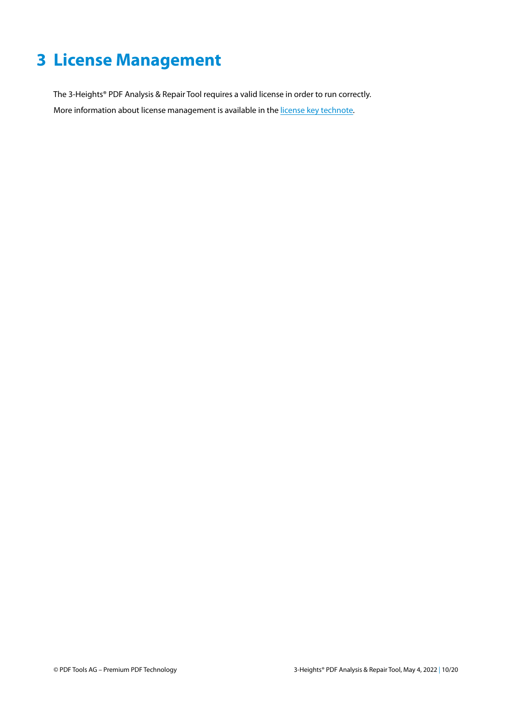## <span id="page-10-0"></span>**3 License Management**

The 3-Heights® PDF Analysis & Repair Tool requires a valid license in order to run correctly. More information about license management is available in the [license key technote.](TechNoteLicenseKeys.pdf)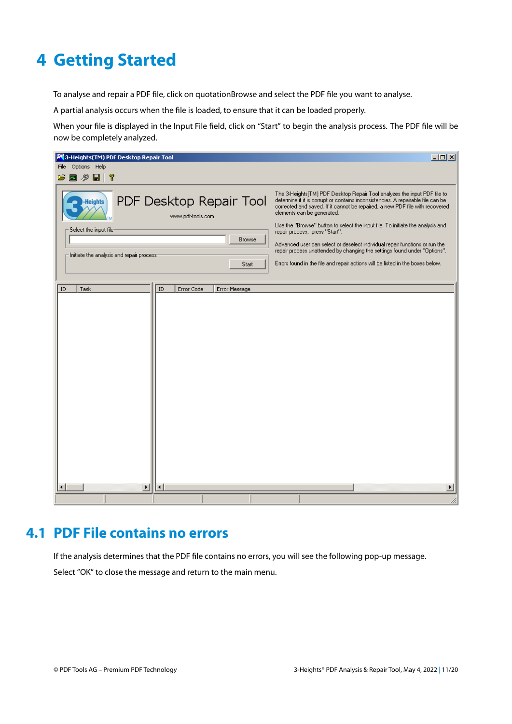## <span id="page-11-0"></span>**4 Getting Started**

To analyse and repair a PDF file, click on quotationBrowse and select the PDF file you want to analyse.

A partial analysis occurs when the file is loaded, to ensure that it can be loaded properly.

When your file is displayed in the Input File field, click on "Start" to begin the analysis process. The PDF file will be now be completely analyzed.

| 网 3-Heights(TM) PDF Desktop Repair Tool                  | $\Box$                                                                                                                                                                                                                                                                                                                                                       |
|----------------------------------------------------------|--------------------------------------------------------------------------------------------------------------------------------------------------------------------------------------------------------------------------------------------------------------------------------------------------------------------------------------------------------------|
| File Options Help                                        |                                                                                                                                                                                                                                                                                                                                                              |
| さ回夕日<br>-?                                               |                                                                                                                                                                                                                                                                                                                                                              |
| PDF Desktop Repair Tool<br>-Heights<br>www.pdf-tools.com | The 3-Heights(TM) PDF Desktop Repair Tool analyzes the input PDF file to<br>determine if it is corrupt or contains inconsistencies. A repairable file can be<br>corrected and saved. If it cannot be repaired, a new PDF file with recovered<br>elements can be generated.<br>Use the "Browse" button to select the input file. To initiate the analysis and |
| Select the input file<br><b>Browse</b>                   | repair process, press "Start".                                                                                                                                                                                                                                                                                                                               |
|                                                          | Advanced user can select or deselect individual repair functions or run the<br>repair process unattended by changing the settings found under "Options".                                                                                                                                                                                                     |
| Initiate the analysis and repair process:<br>Start       | Errors found in the file and repair actions will be listed in the boxes below.                                                                                                                                                                                                                                                                               |
|                                                          |                                                                                                                                                                                                                                                                                                                                                              |
| $\rm ID$<br>ID<br>Error Code<br>Task<br>Error Message    |                                                                                                                                                                                                                                                                                                                                                              |
|                                                          |                                                                                                                                                                                                                                                                                                                                                              |
| $\blacktriangleright$<br>◀                               |                                                                                                                                                                                                                                                                                                                                                              |
|                                                          |                                                                                                                                                                                                                                                                                                                                                              |

### <span id="page-11-1"></span>**4.1 PDF File contains no errors**

If the analysis determines that the PDF file contains no errors, you will see the following pop-up message. Select "OK" to close the message and return to the main menu.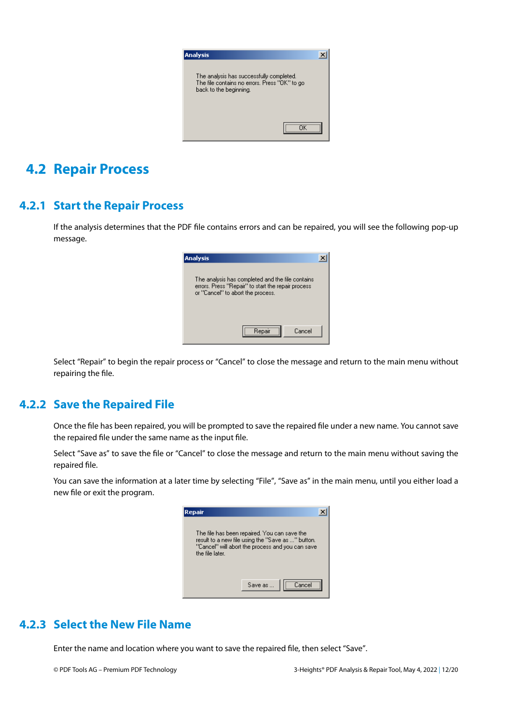

## <span id="page-12-0"></span>**4.2 Repair Process**

#### **4.2.1 Start the Repair Process**

<span id="page-12-1"></span>If the analysis determines that the PDF file contains errors and can be repaired, you will see the following pop-up message.

| <b>Analysis</b>                                                                                                                             |  |
|---------------------------------------------------------------------------------------------------------------------------------------------|--|
| The analysis has completed and the file contains<br>errors. Press "Repair" to start the repair process<br>or "Cancel" to abort the process. |  |
| Repair<br>Cancel                                                                                                                            |  |

<span id="page-12-2"></span>Select "Repair" to begin the repair process or "Cancel" to close the message and return to the main menu without repairing the file.

#### **4.2.2 Save the Repaired File**

Once the file has been repaired, you will be prompted to save the repaired file under a new name. You cannot save the repaired file under the same name as the input file.

Select "Save as" to save the file or "Cancel" to close the message and return to the main menu without saving the repaired file.

You can save the information at a later time by selecting "File", "Save as" in the main menu, until you either load a new file or exit the program.

| Repair                                                                                                                                                                   |         |        |  |
|--------------------------------------------------------------------------------------------------------------------------------------------------------------------------|---------|--------|--|
| The file has been repaired. You can save the<br>result to a new file using the "Save as " button.<br>"Cancel" will abort the process and you can save<br>the file later. |         |        |  |
|                                                                                                                                                                          | Save as | Cancel |  |

#### <span id="page-12-3"></span>**4.2.3 Select the New File Name**

Enter the name and location where you want to save the repaired file, then select "Save".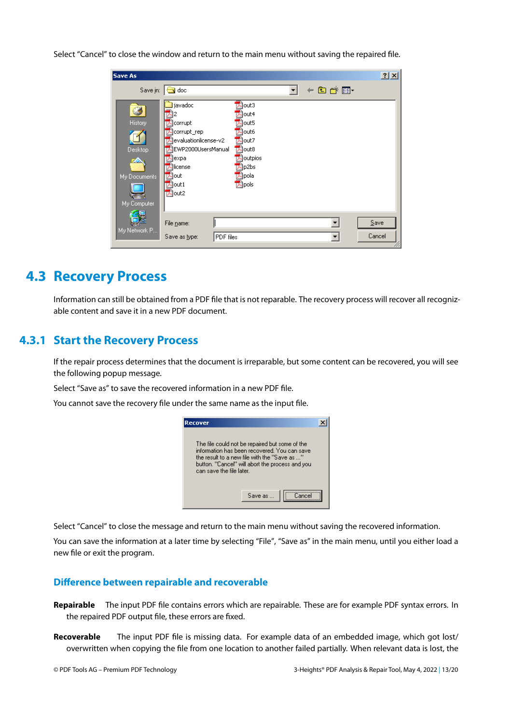Select "Cancel" to close the window and return to the main menu without saving the repaired file.

| Save As                                                       |                                                                                                                                |                                                                                     |          | 2 X            |
|---------------------------------------------------------------|--------------------------------------------------------------------------------------------------------------------------------|-------------------------------------------------------------------------------------|----------|----------------|
|                                                               | Save in: <b>G</b> doc                                                                                                          |                                                                                     | ← 图 合 丽・ |                |
| ی<br>History<br>Desktop<br>zo.<br>My Documents<br>My Computer | javadoc<br>corrupt<br>corrupt_rep<br>evaluationlicense-v2 <br>EWP2000UsersManual<br> expa<br>llicense<br>lout<br>out1<br>Aout2 | lout3<br>lout4<br>out5<br>out6<br>lout7<br>out8<br>outpios<br>p2bs<br>pola<br>pols) |          |                |
| My Network P                                                  | File name:<br>PDF files<br>Save as type:                                                                                       |                                                                                     |          | Save<br>Cancel |

### <span id="page-13-0"></span>**4.3 Recovery Process**

<span id="page-13-1"></span>Information can still be obtained from a PDF file that is not reparable. The recovery process will recover all recognizable content and save it in a new PDF document.

#### **4.3.1 Start the Recovery Process**

If the repair process determines that the document is irreparable, but some content can be recovered, you will see the following popup message.

Select "Save as" to save the recovered information in a new PDF file.

You cannot save the recovery file under the same name as the input file.



Select "Cancel" to close the message and return to the main menu without saving the recovered information.

You can save the information at a later time by selecting "File", "Save as" in the main menu, until you either load a new file or exit the program.

#### <span id="page-13-2"></span>**Difference between repairable and recoverable**

- **Repairable** The input PDF file contains errors which are repairable. These are for example PDF syntax errors. In the repaired PDF output file, these errors are fixed.
- **Recoverable** The input PDF file is missing data. For example data of an embedded image, which got lost/ overwritten when copying the file from one location to another failed partially. When relevant data is lost, the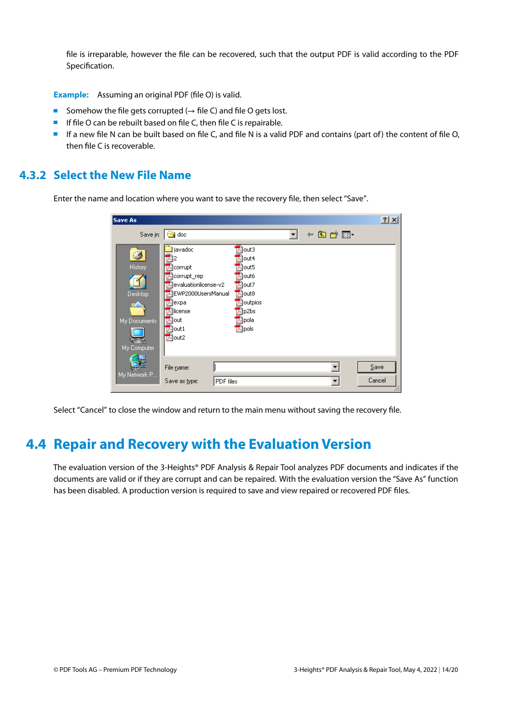file is irreparable, however the file can be recovered, such that the output PDF is valid according to the PDF Specification.

**Example:** Assuming an original PDF (file O) is valid.

- Somehow the file gets corrupted ( $\rightarrow$  file C) and file O gets lost.
- **If file O can be rebuilt based on file C, then file C is repairable.**
- <span id="page-14-0"></span>If a new file N can be built based on file C, and file N is a valid PDF and contains (part of) the content of file O, then file C is recoverable.

#### **4.3.2 Select the New File Name**

Enter the name and location where you want to save the recovery file, then select "Save".

| Save As                                                              |                                                                                                                                                       |                                                                                                               |       | 2 X            |
|----------------------------------------------------------------------|-------------------------------------------------------------------------------------------------------------------------------------------------------|---------------------------------------------------------------------------------------------------------------|-------|----------------|
| Save in:                                                             | $\rightarrow$ doc                                                                                                                                     |                                                                                                               | ←自合画・ |                |
| ٧<br>History<br>Desktop<br><u>то.</u><br>My Documents<br>My Computer | javadoc<br> corrupt <br>corrupt_rep]<br>evaluationlicense-v2<br>EWP2000UsersManual<br> expa<br>license<br><b>A</b> out<br>$\mathbb{Z}$ out 1<br>Aout2 | lout3<br>out4<br>)out5<br>)out6<br>Jout7<br>Clout <sub>8</sub><br>outpios]<br>p2bs<br>) pola<br><b>S</b> pols |       |                |
| My Network P                                                         | File name:<br>PDF files<br>Save as type:                                                                                                              |                                                                                                               |       | Save<br>Cancel |

<span id="page-14-1"></span>Select "Cancel" to close the window and return to the main menu without saving the recovery file.

### **4.4 Repair and Recovery with the Evaluation Version**

The evaluation version of the 3-Heights® PDF Analysis & Repair Tool analyzes PDF documents and indicates if the documents are valid or if they are corrupt and can be repaired. With the evaluation version the "Save As" function has been disabled. A production version is required to save and view repaired or recovered PDF files.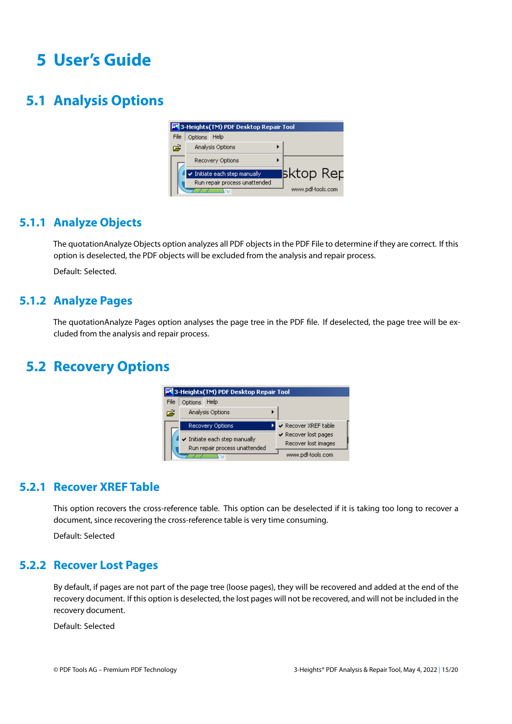## <span id="page-15-0"></span>**5 User's Guide**

## <span id="page-15-1"></span>**5.1 Analysis Options**

|      |              | 3-Heights(TM) PDF Desktop Repair Tool |                   |
|------|--------------|---------------------------------------|-------------------|
| File | Options Help |                                       |                   |
| ಡ    |              | Analysis Options                      |                   |
|      |              | Recovery Options                      |                   |
|      |              | Initiate each step manually           | ∣sktop Rep        |
|      |              | Run repair process unattended         |                   |
|      |              |                                       | www.pdf-tools.com |

#### **5.1.1 Analyze Objects**

<span id="page-15-2"></span>The quotationAnalyze Objects option analyzes all PDF objects in the PDF File to determine if they are correct. If this option is deselected, the PDF objects will be excluded from the analysis and repair process.

<span id="page-15-3"></span>Default: Selected.

#### **5.1.2 Analyze Pages**

The quotationAnalyze Pages option analyses the page tree in the PDF file. If deselected, the page tree will be excluded from the analysis and repair process.

### <span id="page-15-4"></span>**5.2 Recovery Options**



#### **5.2.1 Recover XREF Table**

<span id="page-15-5"></span>This option recovers the cross-reference table. This option can be deselected if it is taking too long to recover a document, since recovering the cross-reference table is very time consuming.

<span id="page-15-6"></span>Default: Selected

#### **5.2.2 Recover Lost Pages**

By default, if pages are not part of the page tree (loose pages), they will be recovered and added at the end of the recovery document. If this option is deselected, the lost pages will not be recovered, and will not be included in the recovery document.

Default: Selected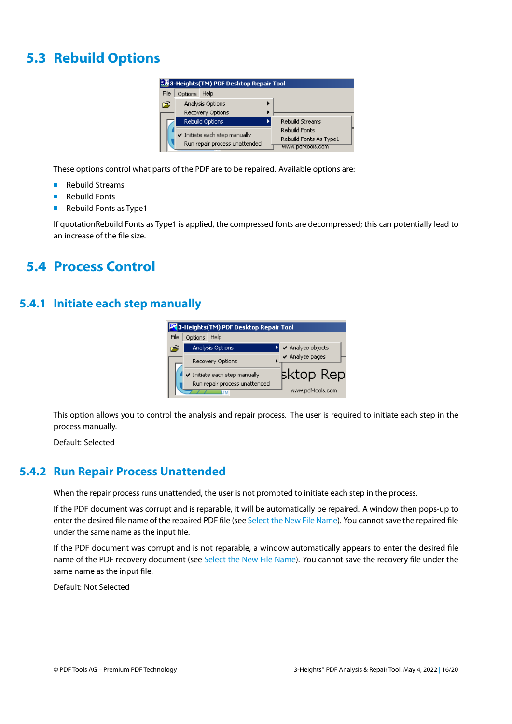## <span id="page-16-0"></span>**5.3 Rebuild Options**



These options control what parts of the PDF are to be repaired. Available options are:

- Rebuild Streams  $\mathcal{L}_{\mathcal{A}}$
- $\mathbf{m}$ Rebuild Fonts
- Rebuild Fonts as Type1  $\mathcal{L}_{\mathcal{A}}$

<span id="page-16-1"></span>If quotationRebuild Fonts as Type1 is applied, the compressed fonts are decompressed; this can potentially lead to an increase of the file size.

### **5.4 Process Control**

#### <span id="page-16-2"></span>**5.4.1 Initiate each step manually**



This option allows you to control the analysis and repair process. The user is required to initiate each step in the process manually.

<span id="page-16-3"></span>Default: Selected

#### **5.4.2 Run Repair Process Unattended**

When the repair process runs unattended, the user is not prompted to initiate each step in the process.

If the PDF document was corrupt and is reparable, it will be automatically be repaired. A window then pops-up to enter the desired file name of the repaired PDF file (see [Select the New File Name](#page-12-3)). You cannot save the repaired file under the same name as the input file.

If the PDF document was corrupt and is not reparable, a window automatically appears to enter the desired file name of the PDF recovery document (see [Select the New File Name\)](#page-14-0). You cannot save the recovery file under the same name as the input file.

Default: Not Selected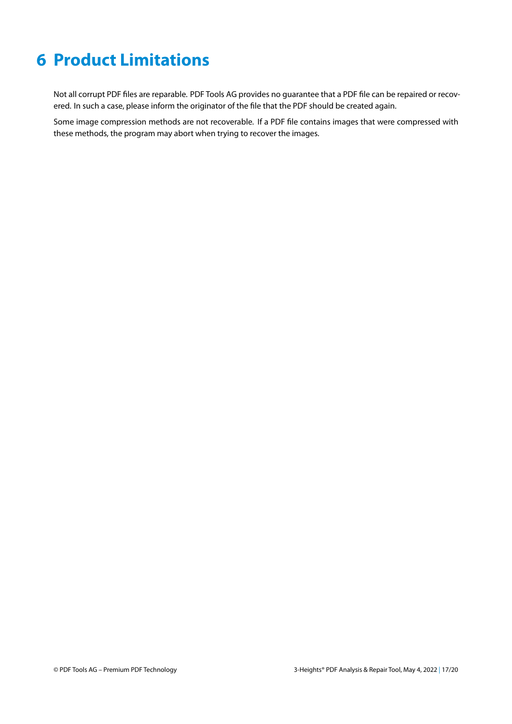## <span id="page-17-0"></span>**6 Product Limitations**

Not all corrupt PDF files are reparable. PDF Tools AG provides no guarantee that a PDF file can be repaired or recovered. In such a case, please inform the originator of the file that the PDF should be created again.

Some image compression methods are not recoverable. If a PDF file contains images that were compressed with these methods, the program may abort when trying to recover the images.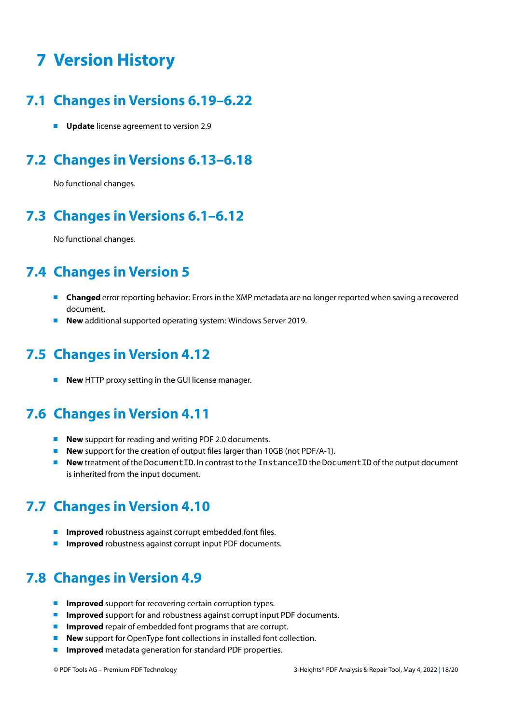## <span id="page-18-0"></span>**7 Version History**

### <span id="page-18-1"></span>**7.1 Changes in Versions 6.19–6.22**

<span id="page-18-2"></span>**Update** license agreement to version 2.9

## **7.2 Changes in Versions 6.13–6.18**

<span id="page-18-3"></span>No functional changes.

## **7.3 Changes in Versions 6.1–6.12**

<span id="page-18-4"></span>No functional changes.

## **7.4 Changes in Version 5**

- **Changed** error reporting behavior: Errors in the XMP metadata are no longer reported when saving a recovered document.
- <span id="page-18-5"></span>**New** additional supported operating system: Windows Server 2019.

## **7.5 Changes in Version 4.12**

<span id="page-18-6"></span>**New** HTTP proxy setting in the GUI license manager.

## **7.6 Changes in Version 4.11**

- **New** support for reading and writing PDF 2.0 documents.  $\blacksquare$
- **New** support for the creation of output files larger than 10GB (not PDF/A-1).
- **New** treatment of the DocumentID. In contrast to the InstanceID the DocumentID of the output document **Contract** is inherited from the input document.

## <span id="page-18-7"></span>**7.7 Changes in Version 4.10**

- **Improved** robustness against corrupt embedded font files.
- <span id="page-18-8"></span>**Improved** robustness against corrupt input PDF documents.

## **7.8 Changes in Version 4.9**

- **Improved** support for recovering certain corruption types. **College**
- **Improved** support for and robustness against corrupt input PDF documents.
- **Improved** repair of embedded font programs that are corrupt.
- **New** support for OpenType font collections in installed font collection.
- **Improved** metadata generation for standard PDF properties. $\mathcal{L}_{\mathrm{max}}$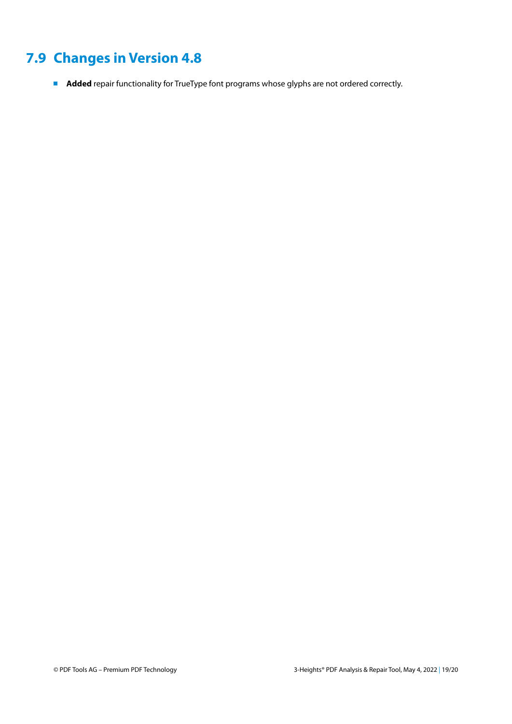## <span id="page-19-0"></span>**7.9 Changes in Version 4.8**

**Added** repair functionality for TrueType font programs whose glyphs are not ordered correctly.